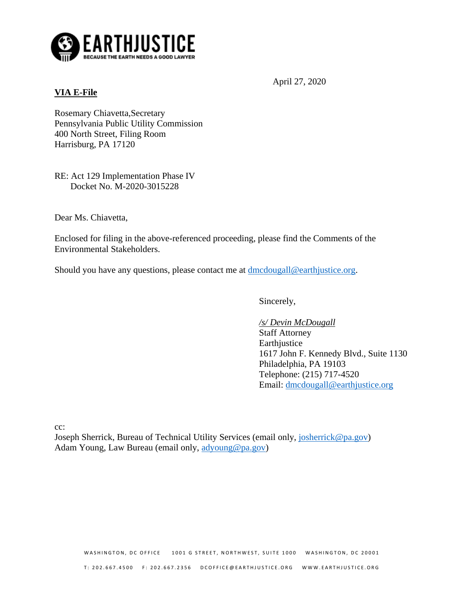

# **VIA E-File**

April 27, 2020

Rosemary Chiavetta,Secretary Pennsylvania Public Utility Commission 400 North Street, Filing Room Harrisburg, PA 17120

RE: Act 129 Implementation Phase IV Docket No. M-2020-3015228

Dear Ms. Chiavetta,

Enclosed for filing in the above-referenced proceeding, please find the Comments of the Environmental Stakeholders.

Should you have any questions, please contact me at [dmcdougall@earthjustice.org.](mailto:dmcdougall@earthjustice.org)

Sincerely,

*/s/ Devin McDougall* Staff Attorney Earthjustice 1617 John F. Kennedy Blvd., Suite 1130 Philadelphia, PA 19103 Telephone: (215) 717-4520 Email: [dmcdougall@earthjustice.org](mailto:dmcdougall@earthjustice.org)

cc:

Joseph Sherrick, Bureau of Technical Utility Services (email only, [josherrick@pa.gov\)](mailto:josherrick@pa.gov) Adam Young, Law Bureau (email only, [adyoung@pa.gov\)](mailto:adyoung@pa.gov)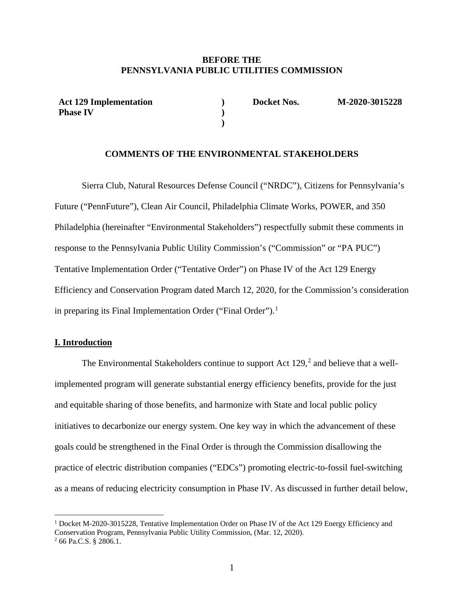#### **BEFORE THE PENNSYLVANIA PUBLIC UTILITIES COMMISSION**

**Act 129 Implementation Phase IV**

**) Docket Nos. M-2020-3015228**

### **COMMENTS OF THE ENVIRONMENTAL STAKEHOLDERS**

**) )**

Sierra Club, Natural Resources Defense Council ("NRDC"), Citizens for Pennsylvania's Future ("PennFuture"), Clean Air Council, Philadelphia Climate Works, POWER, and 350 Philadelphia (hereinafter "Environmental Stakeholders") respectfully submit these comments in response to the Pennsylvania Public Utility Commission's ("Commission" or "PA PUC") Tentative Implementation Order ("Tentative Order") on Phase IV of the Act 129 Energy Efficiency and Conservation Program dated March 12, 2020, for the Commission's consideration in preparing its Final Implementation Order ("Final Order").<sup>[1](#page-1-0)</sup>

### **I. Introduction**

The Environmental Stakeholders continue to support Act  $129<sup>2</sup>$  $129<sup>2</sup>$  $129<sup>2</sup>$  and believe that a wellimplemented program will generate substantial energy efficiency benefits, provide for the just and equitable sharing of those benefits, and harmonize with State and local public policy initiatives to decarbonize our energy system. One key way in which the advancement of these goals could be strengthened in the Final Order is through the Commission disallowing the practice of electric distribution companies ("EDCs") promoting electric-to-fossil fuel-switching as a means of reducing electricity consumption in Phase IV. As discussed in further detail below,

<span id="page-1-0"></span><sup>&</sup>lt;sup>1</sup> Docket M-2020-3015228, Tentative Implementation Order on Phase IV of the Act 129 Energy Efficiency and Conservation Program, Pennsylvania Public Utility Commission, (Mar. 12, 2020).

<span id="page-1-1"></span><sup>2</sup> 66 Pa.C.S. § 2806.1.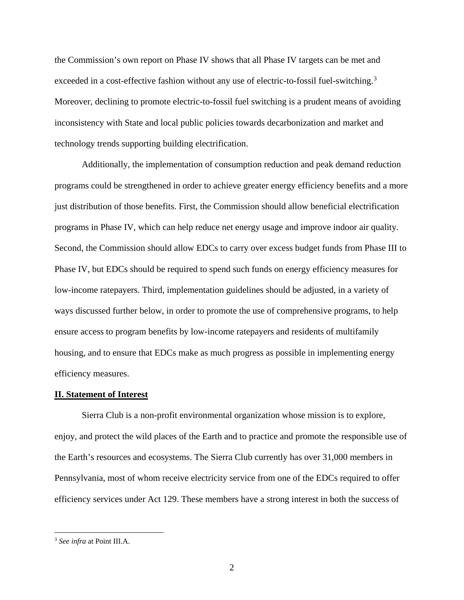the Commission's own report on Phase IV shows that all Phase IV targets can be met and exceeded in a cost-effective fashion without any use of electric-to-fossil fuel-switching.<sup>[3](#page-2-0)</sup> Moreover, declining to promote electric-to-fossil fuel switching is a prudent means of avoiding inconsistency with State and local public policies towards decarbonization and market and technology trends supporting building electrification.

Additionally, the implementation of consumption reduction and peak demand reduction programs could be strengthened in order to achieve greater energy efficiency benefits and a more just distribution of those benefits. First, the Commission should allow beneficial electrification programs in Phase IV, which can help reduce net energy usage and improve indoor air quality. Second, the Commission should allow EDCs to carry over excess budget funds from Phase III to Phase IV, but EDCs should be required to spend such funds on energy efficiency measures for low-income ratepayers. Third, implementation guidelines should be adjusted, in a variety of ways discussed further below, in order to promote the use of comprehensive programs, to help ensure access to program benefits by low-income ratepayers and residents of multifamily housing, and to ensure that EDCs make as much progress as possible in implementing energy efficiency measures.

#### **II. Statement of Interest**

Sierra Club is a non-profit environmental organization whose mission is to explore, enjoy, and protect the wild places of the Earth and to practice and promote the responsible use of the Earth's resources and ecosystems. The Sierra Club currently has over 31,000 members in Pennsylvania, most of whom receive electricity service from one of the EDCs required to offer efficiency services under Act 129. These members have a strong interest in both the success of

<span id="page-2-0"></span> <sup>3</sup> *See infra* at Point III.A.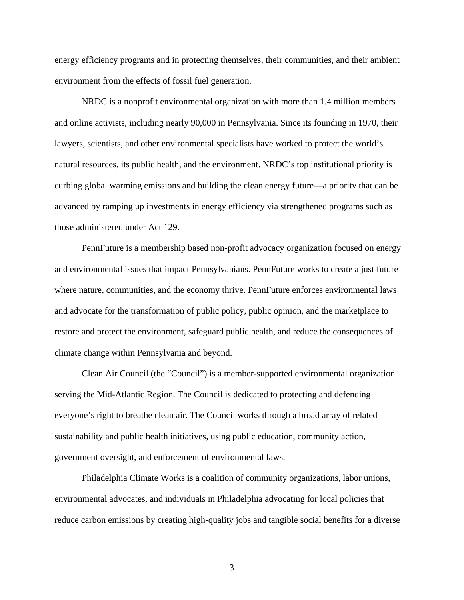energy efficiency programs and in protecting themselves, their communities, and their ambient environment from the effects of fossil fuel generation.

NRDC is a nonprofit environmental organization with more than 1.4 million members and online activists, including nearly 90,000 in Pennsylvania. Since its founding in 1970, their lawyers, scientists, and other environmental specialists have worked to protect the world's natural resources, its public health, and the environment. NRDC's top institutional priority is curbing global warming emissions and building the clean energy future—a priority that can be advanced by ramping up investments in energy efficiency via strengthened programs such as those administered under Act 129.

PennFuture is a membership based non-profit advocacy organization focused on energy and environmental issues that impact Pennsylvanians. PennFuture works to create a just future where nature, communities, and the economy thrive. PennFuture enforces environmental laws and advocate for the transformation of public policy, public opinion, and the marketplace to restore and protect the environment, safeguard public health, and reduce the consequences of climate change within Pennsylvania and beyond.

Clean Air Council (the "Council") is a member-supported environmental organization serving the Mid-Atlantic Region. The Council is dedicated to protecting and defending everyone's right to breathe clean air. The Council works through a broad array of related sustainability and public health initiatives, using public education, community action, government oversight, and enforcement of environmental laws.

Philadelphia Climate Works is a coalition of community organizations, labor unions, environmental advocates, and individuals in Philadelphia advocating for local policies that reduce carbon emissions by creating high-quality jobs and tangible social benefits for a diverse

3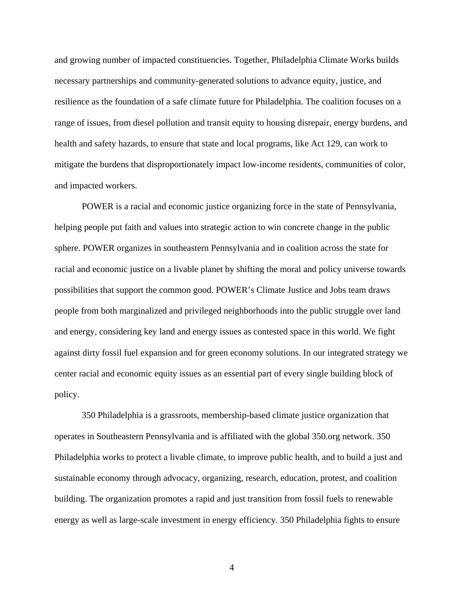and growing number of impacted constituencies. Together, Philadelphia Climate Works builds necessary partnerships and community-generated solutions to advance equity, justice, and resilience as the foundation of a safe climate future for Philadelphia. The coalition focuses on a range of issues, from diesel pollution and transit equity to housing disrepair, energy burdens, and health and safety hazards, to ensure that state and local programs, like Act 129, can work to mitigate the burdens that disproportionately impact low-income residents, communities of color, and impacted workers.

POWER is a racial and economic justice organizing force in the state of Pennsylvania, helping people put faith and values into strategic action to win concrete change in the public sphere. POWER organizes in southeastern Pennsylvania and in coalition across the state for racial and economic justice on a livable planet by shifting the moral and policy universe towards possibilities that support the common good. POWER's Climate Justice and Jobs team draws people from both marginalized and privileged neighborhoods into the public struggle over land and energy, considering key land and energy issues as contested space in this world. We fight against dirty fossil fuel expansion and for green economy solutions. In our integrated strategy we center racial and economic equity issues as an essential part of every single building block of policy.

350 Philadelphia is a grassroots, membership-based climate justice organization that operates in Southeastern Pennsylvania and is affiliated with the global 350.org network. 350 Philadelphia works to protect a livable climate, to improve public health, and to build a just and sustainable economy through advocacy, organizing, research, education, protest, and coalition building. The organization promotes a rapid and just transition from fossil fuels to renewable energy as well as large-scale investment in energy efficiency. 350 Philadelphia fights to ensure

4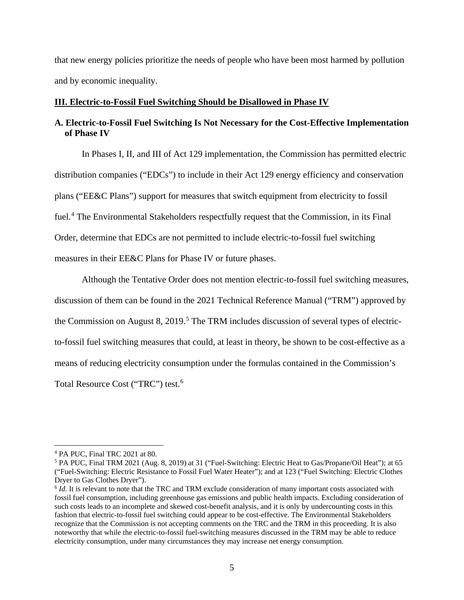that new energy policies prioritize the needs of people who have been most harmed by pollution and by economic inequality.

#### **III. Electric-to-Fossil Fuel Switching Should be Disallowed in Phase IV**

# **A. Electric-to-Fossil Fuel Switching Is Not Necessary for the Cost-Effective Implementation of Phase IV**

In Phases I, II, and III of Act 129 implementation, the Commission has permitted electric distribution companies ("EDCs") to include in their Act 129 energy efficiency and conservation plans ("EE&C Plans") support for measures that switch equipment from electricity to fossil fuel.<sup>[4](#page-5-0)</sup> The Environmental Stakeholders respectfully request that the Commission, in its Final Order, determine that EDCs are not permitted to include electric-to-fossil fuel switching measures in their EE&C Plans for Phase IV or future phases.

Although the Tentative Order does not mention electric-to-fossil fuel switching measures, discussion of them can be found in the 2021 Technical Reference Manual ("TRM") approved by the Commission on August 8, 2019.<sup>[5](#page-5-1)</sup> The TRM includes discussion of several types of electricto-fossil fuel switching measures that could, at least in theory, be shown to be cost-effective as a means of reducing electricity consumption under the formulas contained in the Commission's Total Resource Cost ("TRC") test. [6](#page-5-2)

<span id="page-5-1"></span><span id="page-5-0"></span><sup>&</sup>lt;sup>4</sup> PA PUC, Final TRC 2021 at 80.<br><sup>5</sup> PA PUC, Final TRM 2021 (Aug. 8, 2019) at 31 ("Fuel-Switching: Electric Heat to Gas/Propane/Oil Heat"); at 65 ("Fuel-Switching: Electric Resistance to Fossil Fuel Water Heater"); and at 123 ("Fuel Switching: Electric Clothes Dryer to Gas Clothes Dryer").

<span id="page-5-2"></span><sup>&</sup>lt;sup>6</sup> *Id.* It is relevant to note that the TRC and TRM exclude consideration of many important costs associated with fossil fuel consumption, including greenhouse gas emissions and public health impacts. Excluding consideration of such costs leads to an incomplete and skewed cost-benefit analysis, and it is only by undercounting costs in this fashion that electric-to-fossil fuel switching could appear to be cost-effective. The Environmental Stakeholders recognize that the Commission is not accepting comments on the TRC and the TRM in this proceeding. It is also noteworthy that while the electric-to-fossil fuel-switching measures discussed in the TRM may be able to reduce electricity consumption, under many circumstances they may increase net energy consumption.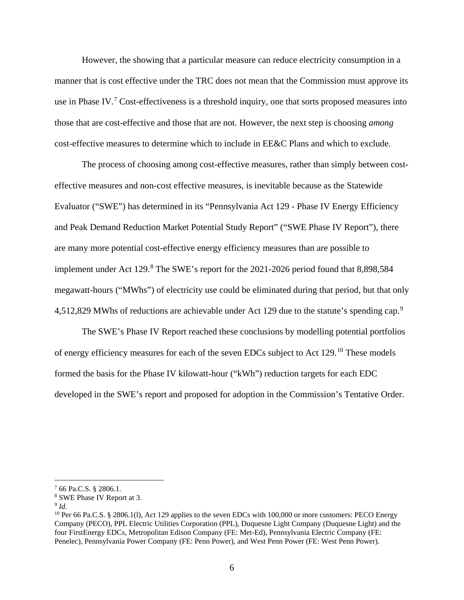However, the showing that a particular measure can reduce electricity consumption in a manner that is cost effective under the TRC does not mean that the Commission must approve its use in Phase IV.<sup>[7](#page-6-0)</sup> Cost-effectiveness is a threshold inquiry, one that sorts proposed measures into those that are cost-effective and those that are not. However, the next step is choosing *among* cost-effective measures to determine which to include in EE&C Plans and which to exclude.

The process of choosing among cost-effective measures, rather than simply between costeffective measures and non-cost effective measures, is inevitable because as the Statewide Evaluator ("SWE") has determined in its "Pennsylvania Act 129 - Phase IV Energy Efficiency and Peak Demand Reduction Market Potential Study Report" ("SWE Phase IV Report"), there are many more potential cost-effective energy efficiency measures than are possible to implement under Act 129.<sup>[8](#page-6-1)</sup> The SWE's report for the 2021-2026 period found that 8,898,584 megawatt-hours ("MWhs") of electricity use could be eliminated during that period, but that only 4,512,82[9](#page-6-2) MWhs of reductions are achievable under Act 129 due to the statute's spending cap.<sup>9</sup>

The SWE's Phase IV Report reached these conclusions by modelling potential portfolios of energy efficiency measures for each of the seven EDCs subject to Act 129.<sup>[10](#page-6-3)</sup> These models formed the basis for the Phase IV kilowatt-hour ("kWh") reduction targets for each EDC developed in the SWE's report and proposed for adoption in the Commission's Tentative Order.

<span id="page-6-0"></span> $7,66$  Pa.C.S. § 2806.1.

<span id="page-6-1"></span><sup>8</sup> SWE Phase IV Report at 3.

<span id="page-6-3"></span><span id="page-6-2"></span><sup>&</sup>lt;sup>9</sup> *Id.* 10 Per 66 Pa.C.S. § 2806.1(1), Act 129 applies to the seven EDCs with 100,000 or more customers: PECO Energy Company (PECO), PPL Electric Utilities Corporation (PPL), Duquesne Light Company (Duquesne Light) and the four FirstEnergy EDCs, Metropolitan Edison Company (FE: Met-Ed), Pennsylvania Electric Company (FE: Penelec), Pennsylvania Power Company (FE: Penn Power), and West Penn Power (FE: West Penn Power).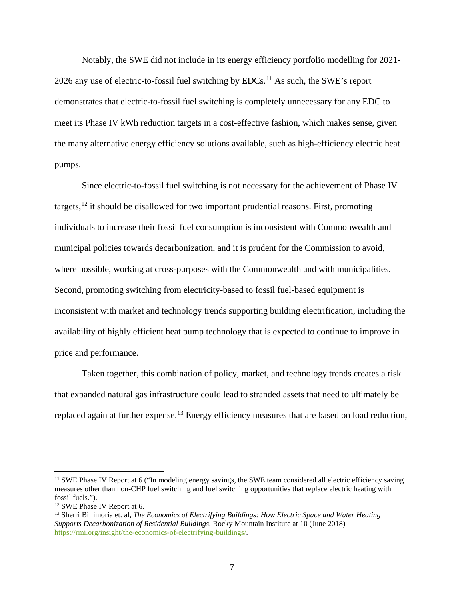Notably, the SWE did not include in its energy efficiency portfolio modelling for 2021- 2026 any use of electric-to-fossil fuel switching by EDCs.<sup>[11](#page-7-0)</sup> As such, the SWE's report demonstrates that electric-to-fossil fuel switching is completely unnecessary for any EDC to meet its Phase IV kWh reduction targets in a cost-effective fashion, which makes sense, given the many alternative energy efficiency solutions available, such as high-efficiency electric heat pumps.

Since electric-to-fossil fuel switching is not necessary for the achievement of Phase IV targets,  $^{12}$  $^{12}$  $^{12}$  it should be disallowed for two important prudential reasons. First, promoting individuals to increase their fossil fuel consumption is inconsistent with Commonwealth and municipal policies towards decarbonization, and it is prudent for the Commission to avoid, where possible, working at cross-purposes with the Commonwealth and with municipalities. Second, promoting switching from electricity-based to fossil fuel-based equipment is inconsistent with market and technology trends supporting building electrification, including the availability of highly efficient heat pump technology that is expected to continue to improve in price and performance.

Taken together, this combination of policy, market, and technology trends creates a risk that expanded natural gas infrastructure could lead to stranded assets that need to ultimately be replaced again at further expense.<sup>[13](#page-7-2)</sup> Energy efficiency measures that are based on load reduction,

<span id="page-7-0"></span><sup>&</sup>lt;sup>11</sup> SWE Phase IV Report at 6 ("In modeling energy savings, the SWE team considered all electric efficiency saving measures other than non-CHP fuel switching and fuel switching opportunities that replace electric heating with

<span id="page-7-1"></span> $12$  SWE Phase IV Report at 6.

<span id="page-7-2"></span><sup>13</sup> Sherri Billimoria et. al, *The Economics of Electrifying Buildings: How Electric Space and Water Heating Supports Decarbonization of Residential Buildings*, Rocky Mountain Institute at 10 (June 2018) [https://rmi.org/insight/the-economics-of-electrifying-buildings/.](https://rmi.org/insight/the-economics-of-electrifying-buildings/)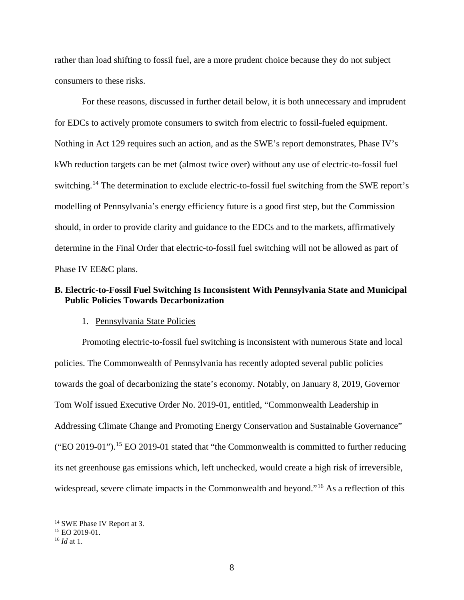rather than load shifting to fossil fuel, are a more prudent choice because they do not subject consumers to these risks.

For these reasons, discussed in further detail below, it is both unnecessary and imprudent for EDCs to actively promote consumers to switch from electric to fossil-fueled equipment. Nothing in Act 129 requires such an action, and as the SWE's report demonstrates, Phase IV's kWh reduction targets can be met (almost twice over) without any use of electric-to-fossil fuel switching.<sup>[14](#page-8-0)</sup> The determination to exclude electric-to-fossil fuel switching from the SWE report's modelling of Pennsylvania's energy efficiency future is a good first step, but the Commission should, in order to provide clarity and guidance to the EDCs and to the markets, affirmatively determine in the Final Order that electric-to-fossil fuel switching will not be allowed as part of Phase IV EE&C plans.

## **B. Electric-to-Fossil Fuel Switching Is Inconsistent With Pennsylvania State and Municipal Public Policies Towards Decarbonization**

#### 1. Pennsylvania State Policies

Promoting electric-to-fossil fuel switching is inconsistent with numerous State and local policies. The Commonwealth of Pennsylvania has recently adopted several public policies towards the goal of decarbonizing the state's economy. Notably, on January 8, 2019, Governor Tom Wolf issued Executive Order No. 2019-01, entitled, "Commonwealth Leadership in Addressing Climate Change and Promoting Energy Conservation and Sustainable Governance" ("EO 2019-01").<sup>[15](#page-8-1)</sup> EO 2019-01 stated that "the Commonwealth is committed to further reducing its net greenhouse gas emissions which, left unchecked, would create a high risk of irreversible, widespread, severe climate impacts in the Commonwealth and beyond."<sup>[16](#page-8-2)</sup> As a reflection of this

<span id="page-8-0"></span> <sup>14</sup> SWE Phase IV Report at 3.

<span id="page-8-1"></span><sup>15</sup> EO 2019-01. 16 *Id* at 1.

<span id="page-8-2"></span>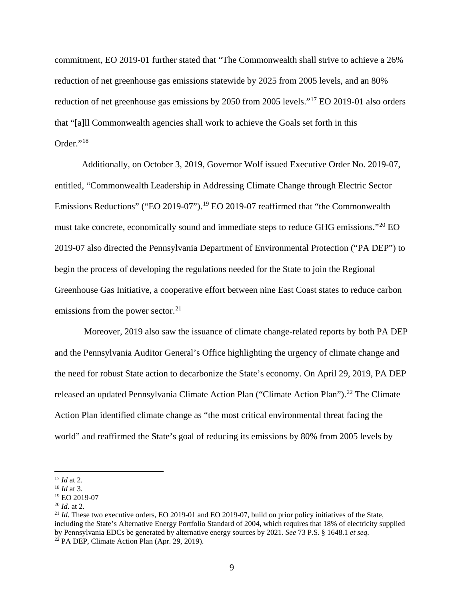commitment, EO 2019-01 further stated that "The Commonwealth shall strive to achieve a 26% reduction of net greenhouse gas emissions statewide by 2025 from 2005 levels, and an 80% reduction of net greenhouse gas emissions by 2050 from 2005 levels."[17](#page-9-0) EO 2019-01 also orders that "[a]ll Commonwealth agencies shall work to achieve the Goals set forth in this Order."[18](#page-9-1)

Additionally, on October 3, 2019, Governor Wolf issued Executive Order No. 2019-07, entitled, "Commonwealth Leadership in Addressing Climate Change through Electric Sector Emissions Reductions" ("EO 20[19](#page-9-2)-07").<sup>19</sup> EO 2019-07 reaffirmed that "the Commonwealth must take concrete, economically sound and immediate steps to reduce GHG emissions."[20](#page-9-3) EO 2019-07 also directed the Pennsylvania Department of Environmental Protection ("PA DEP") to begin the process of developing the regulations needed for the State to join the Regional Greenhouse Gas Initiative, a cooperative effort between nine East Coast states to reduce carbon emissions from the power sector. $21$ 

Moreover, 2019 also saw the issuance of climate change-related reports by both PA DEP and the Pennsylvania Auditor General's Office highlighting the urgency of climate change and the need for robust State action to decarbonize the State's economy. On April 29, 2019, PA DEP released an updated Pennsylvania Climate Action Plan ("Climate Action Plan").<sup>[22](#page-9-5)</sup> The Climate Action Plan identified climate change as "the most critical environmental threat facing the world" and reaffirmed the State's goal of reducing its emissions by 80% from 2005 levels by

<span id="page-9-0"></span><sup>17</sup> *Id* at 2. 18 *Id* at 3.

<span id="page-9-2"></span><span id="page-9-1"></span><sup>19</sup> EO 2019-07 20 *Id.* at 2.

<span id="page-9-5"></span><span id="page-9-4"></span><span id="page-9-3"></span><sup>&</sup>lt;sup>21</sup> *Id.* These two executive orders, EO 2019-01 and EO 2019-07, build on prior policy initiatives of the State, including the State's Alternative Energy Portfolio Standard of 2004, which requires that 18% of electricity supplied by Pennsylvania EDCs be generated by alternative energy sources by 2021. *See* 73 P.S. § 1648.1 *et seq.*  $22$  PA DEP, Climate Action Plan (Apr. 29, 2019).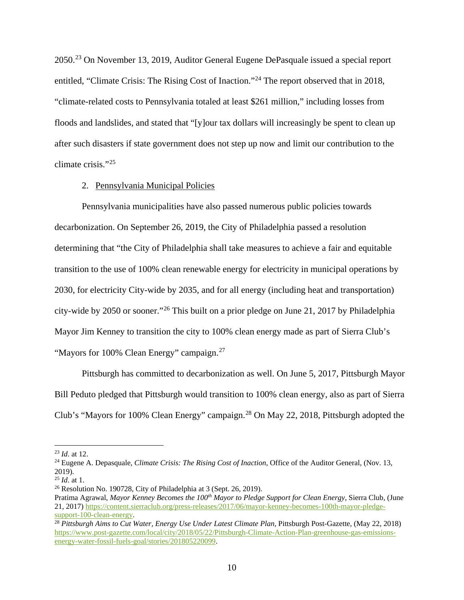2050.[23](#page-10-0) On November 13, 2019, Auditor General Eugene DePasquale issued a special report entitled, "Climate Crisis: The Rising Cost of Inaction."<sup>[24](#page-10-1)</sup> The report observed that in 2018, "climate-related costs to Pennsylvania totaled at least \$261 million," including losses from floods and landslides, and stated that "[y]our tax dollars will increasingly be spent to clean up after such disasters if state government does not step up now and limit our contribution to the climate crisis."[25](#page-10-2)

#### 2. Pennsylvania Municipal Policies

Pennsylvania municipalities have also passed numerous public policies towards decarbonization. On September 26, 2019, the City of Philadelphia passed a resolution determining that "the City of Philadelphia shall take measures to achieve a fair and equitable transition to the use of 100% clean renewable energy for electricity in municipal operations by 2030, for electricity City-wide by 2035, and for all energy (including heat and transportation) city-wide by 2050 or sooner."[26](#page-10-3) This built on a prior pledge on June 21, 2017 by Philadelphia Mayor Jim Kenney to transition the city to 100% clean energy made as part of Sierra Club's "Mayors for 100% Clean Energy" campaign.<sup>[27](#page-10-4)</sup>

Pittsburgh has committed to decarbonization as well. On June 5, 2017, Pittsburgh Mayor Bill Peduto pledged that Pittsburgh would transition to 100% clean energy, also as part of Sierra Club's "Mayors for 100% Clean Energy" campaign.<sup>[28](#page-10-5)</sup> On May 22, 2018, Pittsburgh adopted the

<span id="page-10-1"></span><span id="page-10-0"></span><sup>&</sup>lt;sup>23</sup> *Id.* at 12.<br><sup>24</sup> Eugene A. Depasquale, *Climate Crisis: The Rising Cost of Inaction*, Office of the Auditor General, (Nov. 13, 2019).<br> $^{25}$  *Id.* at 1.

<span id="page-10-3"></span><span id="page-10-2"></span><sup>&</sup>lt;sup>26</sup> Resolution No. 190728, City of Philadelphia at 3 (Sept. 26, 2019).

<span id="page-10-4"></span>Pratima Agrawal, *Mayor Kenney Becomes the 100<sup>th</sup> Mayor to Pledge Support for Clean Energy*, Sierra Club, (June 21, 2017) [https://content.sierraclub.org/press-releases/2017/06/mayor-kenney-becomes-100th-mayor-pledge](https://content.sierraclub.org/press-releases/2017/06/mayor-kenney-becomes-100th-mayor-pledge-support-100-clean-energy)[support-100-clean-energy.](https://content.sierraclub.org/press-releases/2017/06/mayor-kenney-becomes-100th-mayor-pledge-support-100-clean-energy)

<span id="page-10-5"></span><sup>28</sup> *Pittsburgh Aims to Cut Water, Energy Use Under Latest Climate Plan*, Pittsburgh Post-Gazette, (May 22, 2018) [https://www.post-gazette.com/local/city/2018/05/22/Pittsburgh-Climate-Action-Plan-greenhouse-gas-emissions](https://www.post-gazette.com/local/city/2018/05/22/Pittsburgh-Climate-Action-Plan-greenhouse-gas-emissions-energy-water-fossil-fuels-goal/stories/201805220099)[energy-water-fossil-fuels-goal/stories/201805220099.](https://www.post-gazette.com/local/city/2018/05/22/Pittsburgh-Climate-Action-Plan-greenhouse-gas-emissions-energy-water-fossil-fuels-goal/stories/201805220099)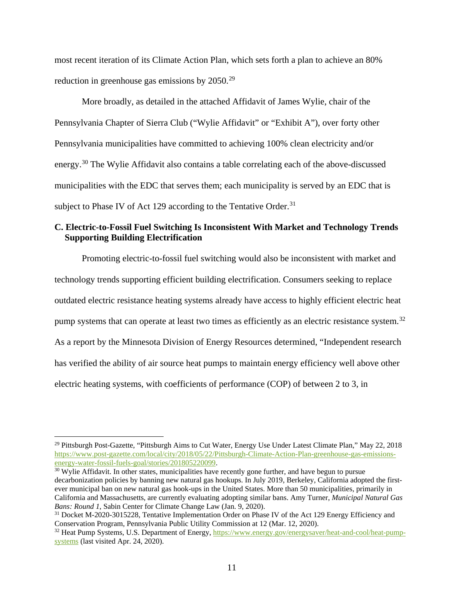most recent iteration of its Climate Action Plan, which sets forth a plan to achieve an 80% reduction in greenhouse gas emissions by 2050.<sup>[29](#page-11-0)</sup>

More broadly, as detailed in the attached Affidavit of James Wylie, chair of the Pennsylvania Chapter of Sierra Club ("Wylie Affidavit" or "Exhibit A"), over forty other Pennsylvania municipalities have committed to achieving 100% clean electricity and/or energy.<sup>[30](#page-11-1)</sup> The Wylie Affidavit also contains a table correlating each of the above-discussed municipalities with the EDC that serves them; each municipality is served by an EDC that is subject to Phase IV of Act 129 according to the Tentative Order.<sup>[31](#page-11-2)</sup>

## **C. Electric-to-Fossil Fuel Switching Is Inconsistent With Market and Technology Trends Supporting Building Electrification**

Promoting electric-to-fossil fuel switching would also be inconsistent with market and technology trends supporting efficient building electrification. Consumers seeking to replace outdated electric resistance heating systems already have access to highly efficient electric heat pump systems that can operate at least two times as efficiently as an electric resistance system.<sup>[32](#page-11-3)</sup> As a report by the Minnesota Division of Energy Resources determined, "Independent research has verified the ability of air source heat pumps to maintain energy efficiency well above other electric heating systems, with coefficients of performance (COP) of between 2 to 3, in

<span id="page-11-0"></span><sup>&</sup>lt;sup>29</sup> Pittsburgh Post-Gazette, "Pittsburgh Aims to Cut Water, Energy Use Under Latest Climate Plan," May 22, 2018 https://www.post-gazette.com/local/city/2018/05/22/Pittsburgh-Climate-Action-Plan-greenhouse-gas-emissions-<br>energy-water-fossil-fuels-goal/stories/201805220099.

<span id="page-11-1"></span> $^{30}$  Wylie Affidavit. In other states, municipalities have recently gone further, and have begun to pursue decarbonization policies by banning new natural gas hookups. In July 2019, Berkeley, California adopted the firstever municipal ban on new natural gas hook-ups in the United States. More than 50 municipalities, primarily in California and Massachusetts, are currently evaluating adopting similar bans. Amy Turner, *Municipal Natural Gas Bans: Round 1*, Sabin Center for Climate Change Law (Jan. 9, 2020).

<span id="page-11-2"></span><sup>&</sup>lt;sup>31</sup> Docket M-2020-3015228, Tentative Implementation Order on Phase IV of the Act 129 Energy Efficiency and Conservation Program, Pennsylvania Public Utility Commission at 12 (Mar. 12, 2020).

<span id="page-11-3"></span><sup>&</sup>lt;sup>32</sup> Heat Pump Systems, U.S. Department of Energy, [https://www.energy.gov/energysaver/heat-and-cool/heat-pump](https://www.energy.gov/energysaver/heat-and-cool/heat-pump-systems)[systems](https://www.energy.gov/energysaver/heat-and-cool/heat-pump-systems) (last visited Apr. 24, 2020).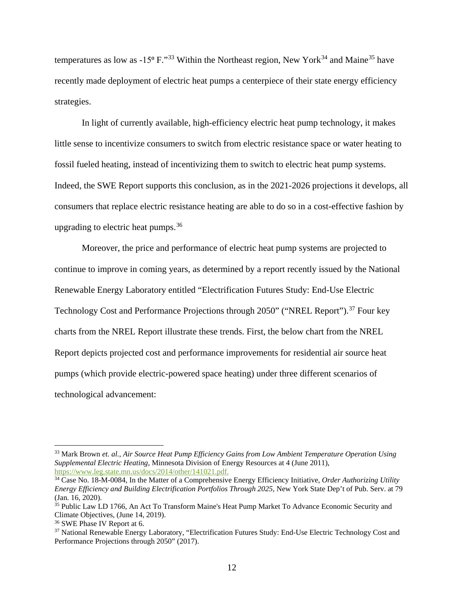temperatures as low as  $-15^{\circ}$  F."<sup>[33](#page-12-0)</sup> Within the Northeast region, New York<sup>[34](#page-12-1)</sup> and Maine<sup>[35](#page-12-2)</sup> have recently made deployment of electric heat pumps a centerpiece of their state energy efficiency strategies.

In light of currently available, high-efficiency electric heat pump technology, it makes little sense to incentivize consumers to switch from electric resistance space or water heating to fossil fueled heating, instead of incentivizing them to switch to electric heat pump systems. Indeed, the SWE Report supports this conclusion, as in the 2021-2026 projections it develops, all consumers that replace electric resistance heating are able to do so in a cost-effective fashion by upgrading to electric heat pumps.  $36$ 

Moreover, the price and performance of electric heat pump systems are projected to continue to improve in coming years, as determined by a report recently issued by the National Renewable Energy Laboratory entitled "Electrification Futures Study: End-Use Electric Technology Cost and Performance Projections through 2050" ("NREL Report").<sup>[37](#page-12-4)</sup> Four key charts from the NREL Report illustrate these trends. First, the below chart from the NREL Report depicts projected cost and performance improvements for residential air source heat pumps (which provide electric-powered space heating) under three different scenarios of technological advancement:

<span id="page-12-0"></span> <sup>33</sup> Mark Brown *et. al.*, *Air Source Heat Pump Efficiency Gains from Low Ambient Temperature Operation Using Supplemental Electric Heating*, Minnesota Division of Energy Resources at 4 (June 2011), [https://www.leg.state.mn.us/docs/2014/other/141021.pdf.](https://www.leg.state.mn.us/docs/2014/other/141021.pdf)

<span id="page-12-1"></span><sup>34</sup> Case No. 18-M-0084, In the Matter of a Comprehensive Energy Efficiency Initiative, *Order Authorizing Utility Energy Efficiency and Building Electrification Portfolios Through 2025*, New York State Dep't of Pub. Serv. at 79 (Jan. 16, 2020).

<span id="page-12-2"></span><sup>35</sup> Public Law LD 1766, An Act To Transform Maine's Heat Pump Market To Advance Economic Security and Climate Objectives, (June 14, 2019).

<span id="page-12-3"></span><sup>36</sup> SWE Phase IV Report at 6.

<span id="page-12-4"></span><sup>&</sup>lt;sup>37</sup> National Renewable Energy Laboratory, "Electrification Futures Study: End-Use Electric Technology Cost and Performance Projections through 2050" (2017).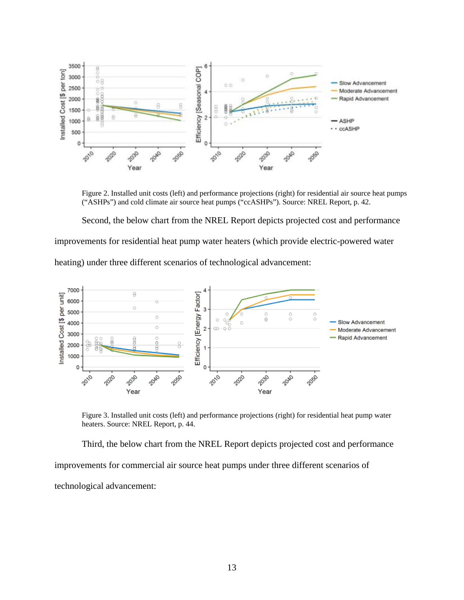

Figure 2. Installed unit costs (left) and performance projections (right) for residential air source heat pumps ("ASHPs") and cold climate air source heat pumps ("ccASHPs"). Source: NREL Report, p. 42.

Second, the below chart from the NREL Report depicts projected cost and performance improvements for residential heat pump water heaters (which provide electric-powered water heating) under three different scenarios of technological advancement:



Figure 3. Installed unit costs (left) and performance projections (right) for residential heat pump water heaters. Source: NREL Report, p. 44.

Third, the below chart from the NREL Report depicts projected cost and performance improvements for commercial air source heat pumps under three different scenarios of technological advancement: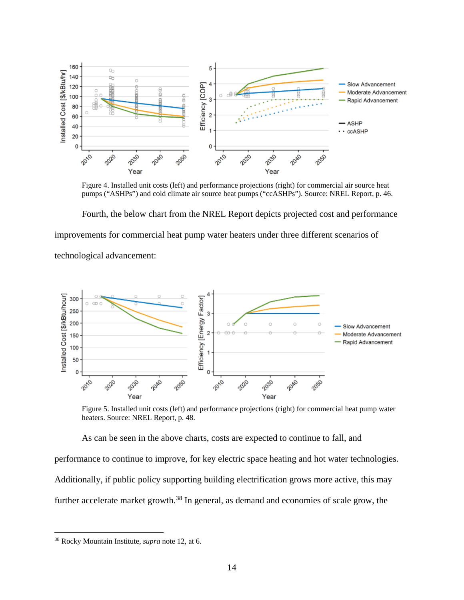

Figure 4. Installed unit costs (left) and performance projections (right) for commercial air source heat pumps ("ASHPs") and cold climate air source heat pumps ("ccASHPs"). Source: NREL Report, p. 46.

Fourth, the below chart from the NREL Report depicts projected cost and performance improvements for commercial heat pump water heaters under three different scenarios of technological advancement:



Figure 5. Installed unit costs (left) and performance projections (right) for commercial heat pump water heaters. Source: NREL Report, p. 48.

As can be seen in the above charts, costs are expected to continue to fall, and performance to continue to improve, for key electric space heating and hot water technologies. Additionally, if public policy supporting building electrification grows more active, this may further accelerate market growth.<sup>[38](#page-14-0)</sup> In general, as demand and economies of scale grow, the

<span id="page-14-0"></span> <sup>38</sup> Rocky Mountain Institute, *supra* note 12, at 6.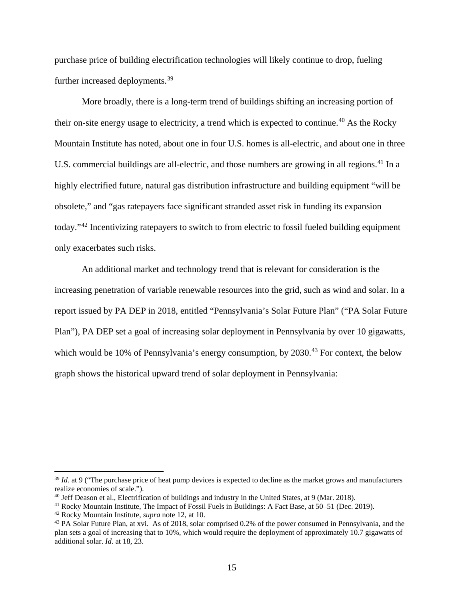purchase price of building electrification technologies will likely continue to drop, fueling further increased deployments.<sup>[39](#page-15-0)</sup>

More broadly, there is a long-term trend of buildings shifting an increasing portion of their on-site energy usage to electricity, a trend which is expected to continue.<sup>[40](#page-15-1)</sup> As the Rocky Mountain Institute has noted, about one in four U.S. homes is all-electric, and about one in three U.S. commercial buildings are all-electric, and those numbers are growing in all regions.<sup>[41](#page-15-2)</sup> In a highly electrified future, natural gas distribution infrastructure and building equipment "will be obsolete," and "gas ratepayers face significant stranded asset risk in funding its expansion today."[42](#page-15-3) Incentivizing ratepayers to switch to from electric to fossil fueled building equipment only exacerbates such risks.

An additional market and technology trend that is relevant for consideration is the increasing penetration of variable renewable resources into the grid, such as wind and solar. In a report issued by PA DEP in 2018, entitled "Pennsylvania's Solar Future Plan" ("PA Solar Future Plan"), PA DEP set a goal of increasing solar deployment in Pennsylvania by over 10 gigawatts, which would be 10% of Pennsylvania's energy consumption, by  $2030<sup>43</sup>$  $2030<sup>43</sup>$  $2030<sup>43</sup>$  For context, the below graph shows the historical upward trend of solar deployment in Pennsylvania:

<span id="page-15-0"></span> <sup>39</sup> *Id.* at 9 ("The purchase price of heat pump devices is expected to decline as the market grows and manufacturers realize economies of scale.").

<span id="page-15-1"></span><sup>40</sup> Jeff Deason et al., Electrification of buildings and industry in the United States, at 9 (Mar. 2018).

<span id="page-15-2"></span><sup>41</sup> Rocky Mountain Institute, The Impact of Fossil Fuels in Buildings: A Fact Base, at 50–51 (Dec. 2019).

<span id="page-15-3"></span><sup>42</sup> Rocky Mountain Institute, *supra* note 12, at 10.

<span id="page-15-4"></span><sup>&</sup>lt;sup>43</sup> PA Solar Future Plan, at xvi. As of 2018, solar comprised 0.2% of the power consumed in Pennsylvania, and the plan sets a goal of increasing that to 10%, which would require the deployment of approximately 10.7 gigawatts of additional solar. *Id*. at 18, 23.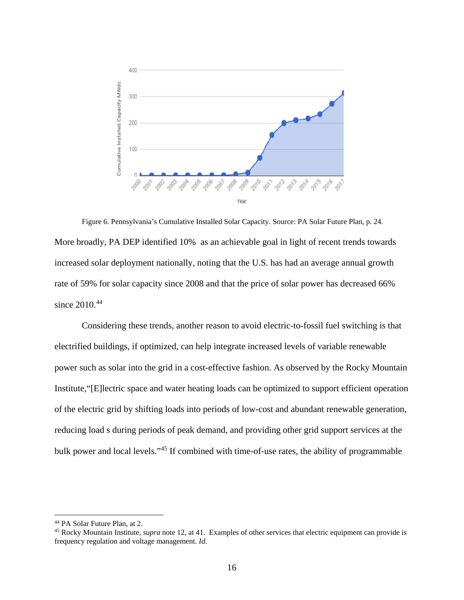

Figure 6. Pennsylvania's Cumulative Installed Solar Capacity. Source: PA Solar Future Plan, p. 24. More broadly, PA DEP identified 10% as an achievable goal in light of recent trends towards increased solar deployment nationally, noting that the U.S. has had an average annual growth rate of 59% for solar capacity since 2008 and that the price of solar power has decreased 66% since 2010.<sup>[44](#page-16-0)</sup>

Considering these trends, another reason to avoid electric-to-fossil fuel switching is that electrified buildings, if optimized, can help integrate increased levels of variable renewable power such as solar into the grid in a cost-effective fashion. As observed by the Rocky Mountain Institute,"[E]lectric space and water heating loads can be optimized to support efficient operation of the electric grid by shifting loads into periods of low-cost and abundant renewable generation, reducing load s during periods of peak demand, and providing other grid support services at the bulk power and local levels."[45](#page-16-1) If combined with time-of-use rates, the ability of programmable

<span id="page-16-1"></span><span id="page-16-0"></span><sup>&</sup>lt;sup>44</sup> PA Solar Future Plan, at 2.<br><sup>45</sup> Rocky Mountain Institute, *supra* note 12, at 41. Examples of other services that electric equipment can provide is frequency regulation and voltage management. *Id*.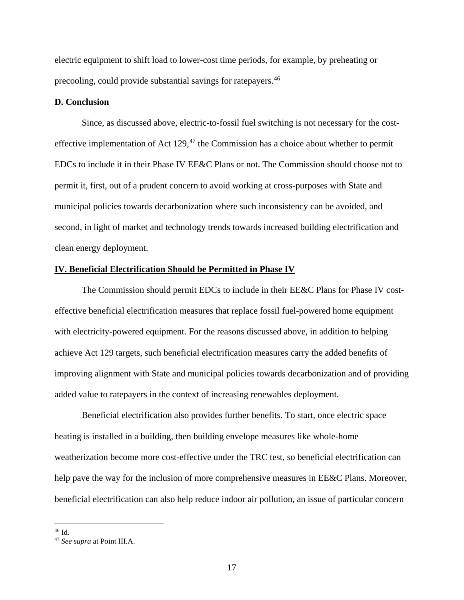electric equipment to shift load to lower-cost time periods, for example, by preheating or precooling, could provide substantial savings for ratepayers.[46](#page-17-0)

#### **D. Conclusion**

Since, as discussed above, electric-to-fossil fuel switching is not necessary for the costeffective implementation of Act  $129<sup>47</sup>$  $129<sup>47</sup>$  $129<sup>47</sup>$ , the Commission has a choice about whether to permit EDCs to include it in their Phase IV EE&C Plans or not. The Commission should choose not to permit it, first, out of a prudent concern to avoid working at cross-purposes with State and municipal policies towards decarbonization where such inconsistency can be avoided, and second, in light of market and technology trends towards increased building electrification and clean energy deployment.

#### **IV. Beneficial Electrification Should be Permitted in Phase IV**

The Commission should permit EDCs to include in their EE&C Plans for Phase IV costeffective beneficial electrification measures that replace fossil fuel-powered home equipment with electricity-powered equipment. For the reasons discussed above, in addition to helping achieve Act 129 targets, such beneficial electrification measures carry the added benefits of improving alignment with State and municipal policies towards decarbonization and of providing added value to ratepayers in the context of increasing renewables deployment.

Beneficial electrification also provides further benefits. To start, once electric space heating is installed in a building, then building envelope measures like whole-home weatherization become more cost-effective under the TRC test, so beneficial electrification can help pave the way for the inclusion of more comprehensive measures in EE&C Plans. Moreover, beneficial electrification can also help reduce indoor air pollution, an issue of particular concern

<span id="page-17-0"></span> <sup>46</sup> Id.

<span id="page-17-1"></span><sup>47</sup> *See supra* at Point III.A.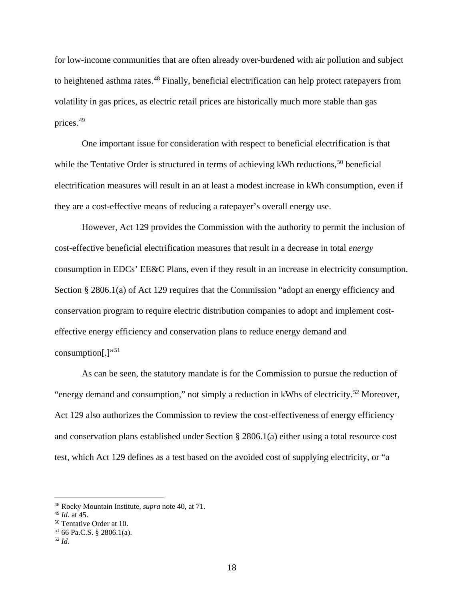for low-income communities that are often already over-burdened with air pollution and subject to heightened asthma rates.<sup>[48](#page-18-0)</sup> Finally, beneficial electrification can help protect ratepayers from volatility in gas prices, as electric retail prices are historically much more stable than gas prices.[49](#page-18-1)

One important issue for consideration with respect to beneficial electrification is that while the Tentative Order is structured in terms of achieving kWh reductions,<sup>[50](#page-18-2)</sup> beneficial electrification measures will result in an at least a modest increase in kWh consumption, even if they are a cost-effective means of reducing a ratepayer's overall energy use.

However, Act 129 provides the Commission with the authority to permit the inclusion of cost-effective beneficial electrification measures that result in a decrease in total *energy* consumption in EDCs' EE&C Plans, even if they result in an increase in electricity consumption. Section § 2806.1(a) of Act 129 requires that the Commission "adopt an energy efficiency and conservation program to require electric distribution companies to adopt and implement costeffective energy efficiency and conservation plans to reduce energy demand and consumption $[.]$ "<sup>[51](#page-18-3)</sup>

As can be seen, the statutory mandate is for the Commission to pursue the reduction of "energy demand and consumption," not simply a reduction in kWhs of electricity.<sup>[52](#page-18-4)</sup> Moreover, Act 129 also authorizes the Commission to review the cost-effectiveness of energy efficiency and conservation plans established under Section § 2806.1(a) either using a total resource cost test, which Act 129 defines as a test based on the avoided cost of supplying electricity, or "a

<span id="page-18-0"></span> <sup>48</sup> Rocky Mountain Institute, *supra* note 40, at 71.

<span id="page-18-3"></span><span id="page-18-2"></span><span id="page-18-1"></span><sup>49</sup> *Id.* at 45. 50 Tentative Order at 10. 51 66 Pa.C.S. § 2806.1(a). 52 *Id*.

<span id="page-18-4"></span>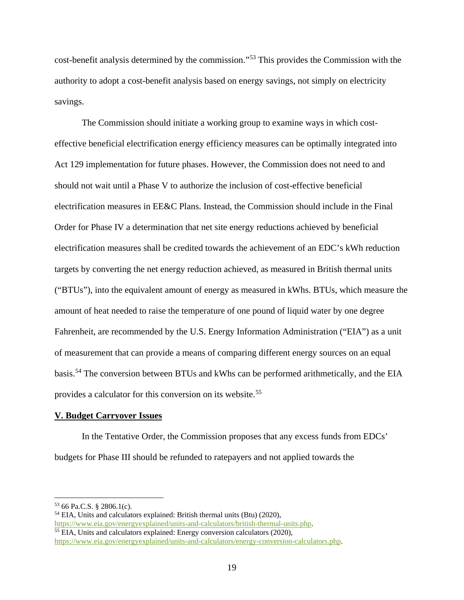cost-benefit analysis determined by the commission."[53](#page-19-0) This provides the Commission with the authority to adopt a cost-benefit analysis based on energy savings, not simply on electricity savings.

The Commission should initiate a working group to examine ways in which costeffective beneficial electrification energy efficiency measures can be optimally integrated into Act 129 implementation for future phases. However, the Commission does not need to and should not wait until a Phase V to authorize the inclusion of cost-effective beneficial electrification measures in EE&C Plans. Instead, the Commission should include in the Final Order for Phase IV a determination that net site energy reductions achieved by beneficial electrification measures shall be credited towards the achievement of an EDC's kWh reduction targets by converting the net energy reduction achieved, as measured in British thermal units ("BTUs"), into the equivalent amount of energy as measured in kWhs. BTUs, which measure the amount of heat needed to raise the temperature of one pound of liquid water by one degree Fahrenheit, are recommended by the U.S. Energy Information Administration ("EIA") as a unit of measurement that can provide a means of comparing different energy sources on an equal basis.[54](#page-19-1) The conversion between BTUs and kWhs can be performed arithmetically, and the EIA provides a calculator for this conversion on its website.[55](#page-19-2)

#### **V. Budget Carryover Issues**

In the Tentative Order, the Commission proposes that any excess funds from EDCs' budgets for Phase III should be refunded to ratepayers and not applied towards the

<span id="page-19-0"></span> $53$  66 Pa.C.S. § 2806.1(c).

<span id="page-19-1"></span><sup>&</sup>lt;sup>54</sup> EIA, Units and calculators explained: British thermal units (Btu) (2020),  $\frac{https://www.eia.gov/energyexplained/units-and-calculators/british-thermal-units.php.}$  $55$  EIA, Units and calculators explained: Energy conversion calculators (2020),

<span id="page-19-2"></span>[https://www.eia.gov/energyexplained/units-and-calculators/energy-conversion-calculators.php.](https://www.eia.gov/energyexplained/units-and-calculators/energy-conversion-calculators.php)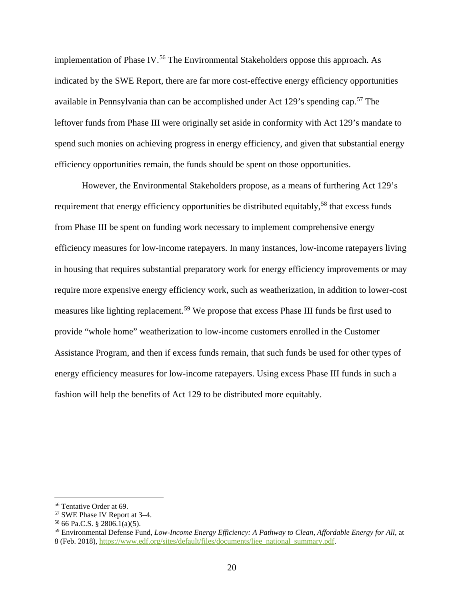implementation of Phase IV.<sup>[56](#page-20-0)</sup> The Environmental Stakeholders oppose this approach. As indicated by the SWE Report, there are far more cost-effective energy efficiency opportunities available in Pennsylvania than can be accomplished under Act 129's spending cap.<sup>[57](#page-20-1)</sup> The leftover funds from Phase III were originally set aside in conformity with Act 129's mandate to spend such monies on achieving progress in energy efficiency, and given that substantial energy efficiency opportunities remain, the funds should be spent on those opportunities.

However, the Environmental Stakeholders propose, as a means of furthering Act 129's requirement that energy efficiency opportunities be distributed equitably,<sup>[58](#page-20-2)</sup> that excess funds from Phase III be spent on funding work necessary to implement comprehensive energy efficiency measures for low-income ratepayers. In many instances, low-income ratepayers living in housing that requires substantial preparatory work for energy efficiency improvements or may require more expensive energy efficiency work, such as weatherization, in addition to lower-cost measures like lighting replacement.<sup>[59](#page-20-3)</sup> We propose that excess Phase III funds be first used to provide "whole home" weatherization to low-income customers enrolled in the Customer Assistance Program, and then if excess funds remain, that such funds be used for other types of energy efficiency measures for low-income ratepayers. Using excess Phase III funds in such a fashion will help the benefits of Act 129 to be distributed more equitably.

<span id="page-20-1"></span><span id="page-20-0"></span> <sup>56</sup> Tentative Order at 69.

<sup>57</sup> SWE Phase IV Report at 3–4.

<span id="page-20-2"></span> $5866$  Pa.C.S. § 2806.1(a)(5).

<span id="page-20-3"></span><sup>59</sup> Environmental Defense Fund, *Low-Income Energy Efficiency: A Pathway to Clean, Affordable Energy for All*, at 8 (Feb. 2018), [https://www.edf.org/sites/default/files/documents/liee\\_national\\_summary.pdf.](https://www.edf.org/sites/default/files/documents/liee_national_summary.pdf)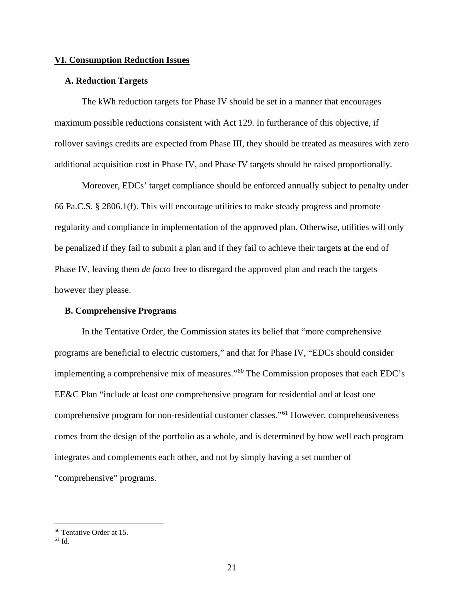#### **VI. Consumption Reduction Issues**

#### **A. Reduction Targets**

The kWh reduction targets for Phase IV should be set in a manner that encourages maximum possible reductions consistent with Act 129. In furtherance of this objective, if rollover savings credits are expected from Phase III, they should be treated as measures with zero additional acquisition cost in Phase IV, and Phase IV targets should be raised proportionally.

Moreover, EDCs' target compliance should be enforced annually subject to penalty under 66 Pa.C.S. § 2806.1(f). This will encourage utilities to make steady progress and promote regularity and compliance in implementation of the approved plan. Otherwise, utilities will only be penalized if they fail to submit a plan and if they fail to achieve their targets at the end of Phase IV, leaving them *de facto* free to disregard the approved plan and reach the targets however they please.

### **B. Comprehensive Programs**

In the Tentative Order, the Commission states its belief that "more comprehensive programs are beneficial to electric customers," and that for Phase IV, "EDCs should consider implementing a comprehensive mix of measures."[60](#page-21-0) The Commission proposes that each EDC's EE&C Plan "include at least one comprehensive program for residential and at least one comprehensive program for non-residential customer classes."[61](#page-21-1) However, comprehensiveness comes from the design of the portfolio as a whole, and is determined by how well each program integrates and complements each other, and not by simply having a set number of "comprehensive" programs.

<span id="page-21-0"></span> <sup>60</sup> Tentative Order at 15.

<span id="page-21-1"></span><sup>61</sup> Id.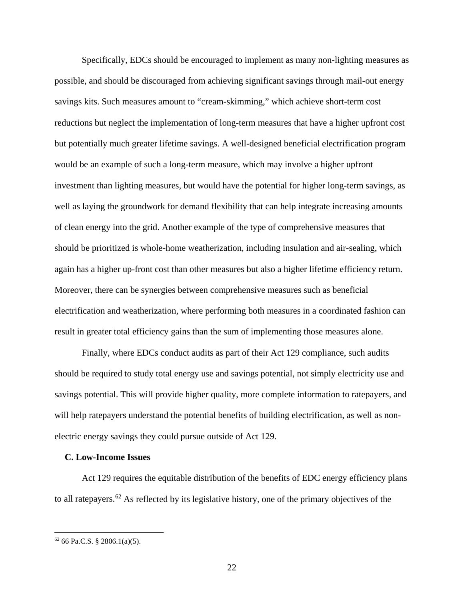Specifically, EDCs should be encouraged to implement as many non-lighting measures as possible, and should be discouraged from achieving significant savings through mail-out energy savings kits. Such measures amount to "cream-skimming," which achieve short-term cost reductions but neglect the implementation of long-term measures that have a higher upfront cost but potentially much greater lifetime savings. A well-designed beneficial electrification program would be an example of such a long-term measure, which may involve a higher upfront investment than lighting measures, but would have the potential for higher long-term savings, as well as laying the groundwork for demand flexibility that can help integrate increasing amounts of clean energy into the grid. Another example of the type of comprehensive measures that should be prioritized is whole-home weatherization, including insulation and air-sealing, which again has a higher up-front cost than other measures but also a higher lifetime efficiency return. Moreover, there can be synergies between comprehensive measures such as beneficial electrification and weatherization, where performing both measures in a coordinated fashion can result in greater total efficiency gains than the sum of implementing those measures alone.

Finally, where EDCs conduct audits as part of their Act 129 compliance, such audits should be required to study total energy use and savings potential, not simply electricity use and savings potential. This will provide higher quality, more complete information to ratepayers, and will help ratepayers understand the potential benefits of building electrification, as well as nonelectric energy savings they could pursue outside of Act 129.

#### **C. Low-Income Issues**

Act 129 requires the equitable distribution of the benefits of EDC energy efficiency plans to all ratepayers.<sup>[62](#page-22-0)</sup> As reflected by its legislative history, one of the primary objectives of the

<span id="page-22-0"></span> $62$  66 Pa.C.S. § 2806.1(a)(5).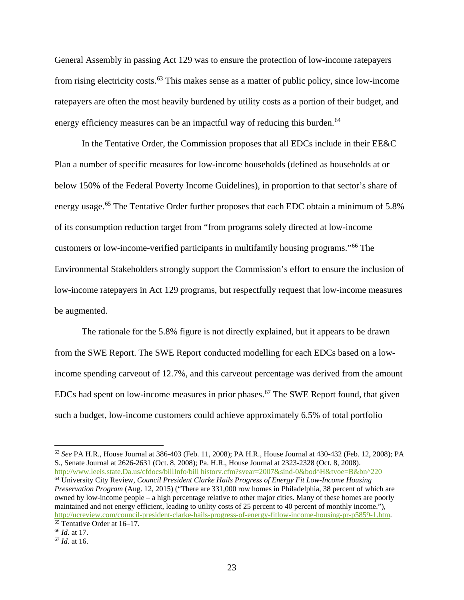General Assembly in passing Act 129 was to ensure the protection of low-income ratepayers from rising electricity costs.<sup>[63](#page-23-0)</sup> This makes sense as a matter of public policy, since low-income ratepayers are often the most heavily burdened by utility costs as a portion of their budget, and energy efficiency measures can be an impactful way of reducing this burden.<sup>[64](#page-23-1)</sup>

In the Tentative Order, the Commission proposes that all EDCs include in their EE&C Plan a number of specific measures for low-income households (defined as households at or below 150% of the Federal Poverty Income Guidelines), in proportion to that sector's share of energy usage.<sup>[65](#page-23-2)</sup> The Tentative Order further proposes that each EDC obtain a minimum of 5.8% of its consumption reduction target from "from programs solely directed at low-income customers or low-income-verified participants in multifamily housing programs."[66](#page-23-3) The Environmental Stakeholders strongly support the Commission's effort to ensure the inclusion of low-income ratepayers in Act 129 programs, but respectfully request that low-income measures be augmented.

The rationale for the 5.8% figure is not directly explained, but it appears to be drawn from the SWE Report. The SWE Report conducted modelling for each EDCs based on a lowincome spending carveout of 12.7%, and this carveout percentage was derived from the amount EDCs had spent on low-income measures in prior phases.<sup>[67](#page-23-4)</sup> The SWE Report found, that given such a budget, low-income customers could achieve approximately 6.5% of total portfolio

<span id="page-23-0"></span> 63 *See* PA H.R., House Journal at 386-403 (Feb. 11, 2008); PA H.R., House Journal at 430-432 (Feb. 12, 2008); PA S., Senate Journal at 2626-2631 (Oct. 8, 2008); Pa. H.R., House Journal at 2323-2328 (Oct. 8, 2008). [http://www.leeis.state.Da.us/cfdocs/billInfo/bill historv.cfm?svear=2007&sind-0&bod^H&tvoe=B&bn^220](http://www.leeis.state.da.us/cfdocs/billInfo/bill%20historv.cfm?svear=2007&sind-0&bod%5eH&tvoe=B&bn%5e220%20)

<span id="page-23-1"></span><sup>64</sup> University City Review, *Council President Clarke Hails Progress of Energy Fit Low-Income Housing Preservation Program* (Aug. 12, 2015) ("There are 331,000 row homes in Philadelphia, 38 percent of which are owned by low-income people – a high percentage relative to other major cities. Many of these homes are poorly maintained and not energy efficient, leading to utility costs of 25 percent to 40 percent of monthly income."), [http://ucreview.com/council-president-clarke-hails-progress-of-energy-fitlow-income-housing-pr-p5859-1.htm.](http://ucreview.com/council-president-clarke-hails-progress-of-energy-fitlow-income-housing-pr-p5859-1.htm) <sup>65</sup> Tentative Order at 16–17.

<span id="page-23-3"></span><span id="page-23-2"></span><sup>66</sup> *Id.* at 17.

<span id="page-23-4"></span><sup>67</sup> *Id.* at 16.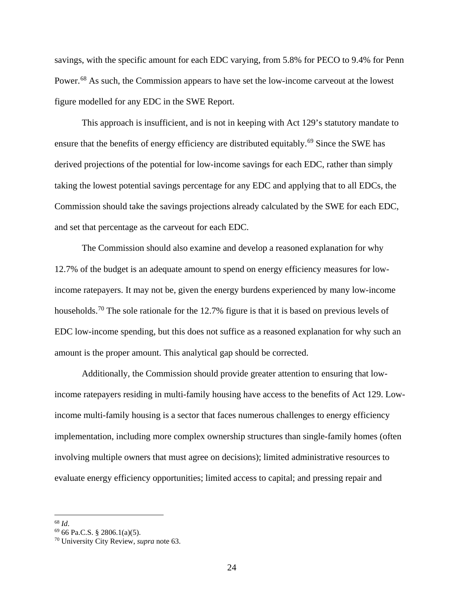savings, with the specific amount for each EDC varying, from 5.8% for PECO to 9.4% for Penn Power.<sup>[68](#page-24-0)</sup> As such, the Commission appears to have set the low-income carveout at the lowest figure modelled for any EDC in the SWE Report.

This approach is insufficient, and is not in keeping with Act 129's statutory mandate to ensure that the benefits of energy efficiency are distributed equitably.<sup>[69](#page-24-1)</sup> Since the SWE has derived projections of the potential for low-income savings for each EDC, rather than simply taking the lowest potential savings percentage for any EDC and applying that to all EDCs, the Commission should take the savings projections already calculated by the SWE for each EDC, and set that percentage as the carveout for each EDC.

The Commission should also examine and develop a reasoned explanation for why 12.7% of the budget is an adequate amount to spend on energy efficiency measures for lowincome ratepayers. It may not be, given the energy burdens experienced by many low-income households.<sup>[70](#page-24-2)</sup> The sole rationale for the 12.7% figure is that it is based on previous levels of EDC low-income spending, but this does not suffice as a reasoned explanation for why such an amount is the proper amount. This analytical gap should be corrected.

Additionally, the Commission should provide greater attention to ensuring that lowincome ratepayers residing in multi-family housing have access to the benefits of Act 129. Lowincome multi-family housing is a sector that faces numerous challenges to energy efficiency implementation, including more complex ownership structures than single-family homes (often involving multiple owners that must agree on decisions); limited administrative resources to evaluate energy efficiency opportunities; limited access to capital; and pressing repair and

<span id="page-24-0"></span> <sup>68</sup> *Id*.

<span id="page-24-1"></span><sup>69</sup> 66 Pa.C.S. § 2806.1(a)(5).

<span id="page-24-2"></span><sup>70</sup> University City Review, *supra* note 63.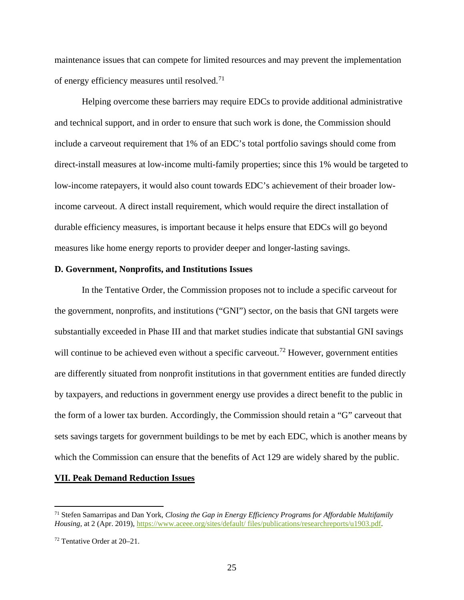maintenance issues that can compete for limited resources and may prevent the implementation of energy efficiency measures until resolved.[71](#page-25-0)

Helping overcome these barriers may require EDCs to provide additional administrative and technical support, and in order to ensure that such work is done, the Commission should include a carveout requirement that 1% of an EDC's total portfolio savings should come from direct-install measures at low-income multi-family properties; since this 1% would be targeted to low-income ratepayers, it would also count towards EDC's achievement of their broader lowincome carveout. A direct install requirement, which would require the direct installation of durable efficiency measures, is important because it helps ensure that EDCs will go beyond measures like home energy reports to provider deeper and longer-lasting savings.

#### **D. Government, Nonprofits, and Institutions Issues**

In the Tentative Order, the Commission proposes not to include a specific carveout for the government, nonprofits, and institutions ("GNI") sector, on the basis that GNI targets were substantially exceeded in Phase III and that market studies indicate that substantial GNI savings will continue to be achieved even without a specific carveout.<sup>[72](#page-25-1)</sup> However, government entities are differently situated from nonprofit institutions in that government entities are funded directly by taxpayers, and reductions in government energy use provides a direct benefit to the public in the form of a lower tax burden. Accordingly, the Commission should retain a "G" carveout that sets savings targets for government buildings to be met by each EDC, which is another means by which the Commission can ensure that the benefits of Act 129 are widely shared by the public.

#### **VII. Peak Demand Reduction Issues**

<span id="page-25-0"></span> <sup>71</sup> Stefen Samarripas and Dan York, *Closing the Gap in Energy Efficiency Programs for Affordable Multifamily Housing*, at 2 (Apr. 2019), [https://www.aceee.org/sites/default/ files/publications/researchreports/u1903.pdf.](https://www.aceee.org/sites/default/%20files/publications/researchreports/u1903.pdf)

<span id="page-25-1"></span><sup>72</sup> Tentative Order at 20–21.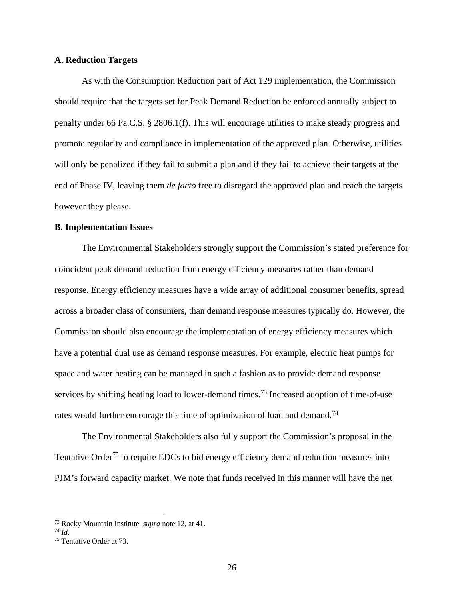#### **A. Reduction Targets**

As with the Consumption Reduction part of Act 129 implementation, the Commission should require that the targets set for Peak Demand Reduction be enforced annually subject to penalty under 66 Pa.C.S. § 2806.1(f). This will encourage utilities to make steady progress and promote regularity and compliance in implementation of the approved plan. Otherwise, utilities will only be penalized if they fail to submit a plan and if they fail to achieve their targets at the end of Phase IV, leaving them *de facto* free to disregard the approved plan and reach the targets however they please.

#### **B. Implementation Issues**

The Environmental Stakeholders strongly support the Commission's stated preference for coincident peak demand reduction from energy efficiency measures rather than demand response. Energy efficiency measures have a wide array of additional consumer benefits, spread across a broader class of consumers, than demand response measures typically do. However, the Commission should also encourage the implementation of energy efficiency measures which have a potential dual use as demand response measures. For example, electric heat pumps for space and water heating can be managed in such a fashion as to provide demand response services by shifting heating load to lower-demand times.<sup>[73](#page-26-0)</sup> Increased adoption of time-of-use rates would further encourage this time of optimization of load and demand.<sup>[74](#page-26-1)</sup>

The Environmental Stakeholders also fully support the Commission's proposal in the Tentative Order<sup>[75](#page-26-2)</sup> to require EDCs to bid energy efficiency demand reduction measures into PJM's forward capacity market. We note that funds received in this manner will have the net

<span id="page-26-0"></span> <sup>73</sup> Rocky Mountain Institute, *supra* note 12, at 41.

<span id="page-26-1"></span>

<span id="page-26-2"></span><sup>&</sup>lt;sup>75</sup> Tentative Order at 73.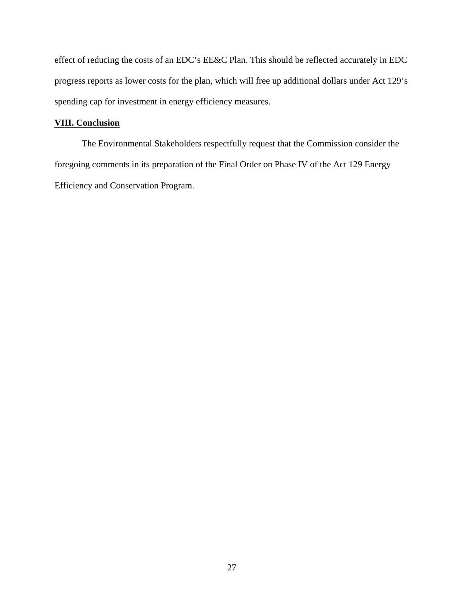effect of reducing the costs of an EDC's EE&C Plan. This should be reflected accurately in EDC progress reports as lower costs for the plan, which will free up additional dollars under Act 129's spending cap for investment in energy efficiency measures.

## **VIII. Conclusion**

The Environmental Stakeholders respectfully request that the Commission consider the foregoing comments in its preparation of the Final Order on Phase IV of the Act 129 Energy Efficiency and Conservation Program.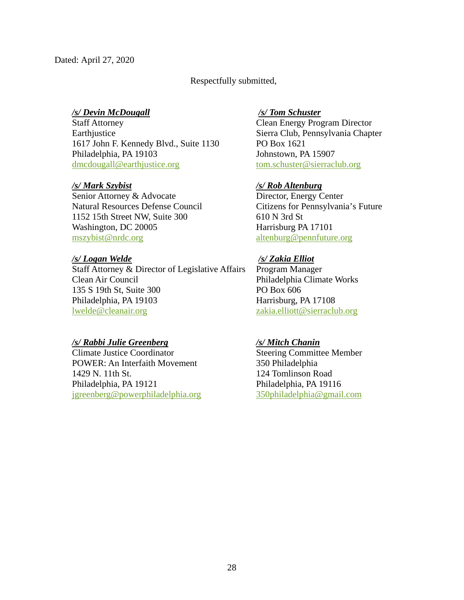# Respectfully submitted,

## */s/ Devin McDougall*

Staff Attorney Earthjustice 1617 John F. Kennedy Blvd., Suite 1130 Philadelphia, PA 19103 [dmcdougall@earthjustice.org](mailto:dmcdougall@earthjustice.org)

## */s/ Mark Szybist*

Senior Attorney & Advocate Natural Resources Defense Council 1152 15th Street NW, Suite 300 Washington, DC 20005 [mszybist@nrdc.org](mailto:mszybist@nrdc.org)

## */s/ Logan Welde*

Staff Attorney & Director of Legislative Affairs Clean Air Council 135 S 19th St, Suite 300 Philadelphia, PA 19103 [lwelde@cleanair.org](mailto:lwelde@cleanair.org)

# */s/ Rabbi Julie Greenberg*

Climate Justice Coordinator POWER: An Interfaith Movement 1429 N. 11th St. Philadelphia, PA 19121 [jgreenberg@powerphiladelphia.org](mailto:jgreenberg@powerphiladelphia.org) 

## */s/ Tom Schuster*

Clean Energy Program Director Sierra Club, Pennsylvania Chapter PO Box 1621 Johnstown, PA 15907 [tom.schuster@sierraclub.org](mailto:tom.schuster@sierraclub.org)

# */s/ Rob Altenburg*

Director, Energy Center Citizens for Pennsylvania's Future 610 N 3rd St Harrisburg PA 17101 [altenburg@pennfuture.org](mailto:altenburg@pennfuture.org)

# */s/ Zakia Elliot*

Program Manager Philadelphia Climate Works PO Box 606 Harrisburg, PA 17108 [zakia.elliott@sierraclub.org](mailto:zakia.elliott@sierraclub.org)

# */s/ Mitch Chanin*

Steering Committee Member 350 Philadelphia 124 Tomlinson Road Philadelphia, PA 19116 [350philadelphia@gmail.com](mailto:350philadelphia@gmail.com)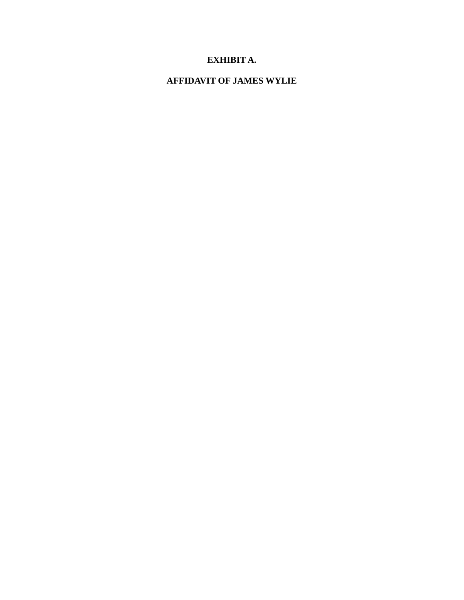# **EXHIBIT A.**

# **AFFIDAVIT OF JAMES WYLIE**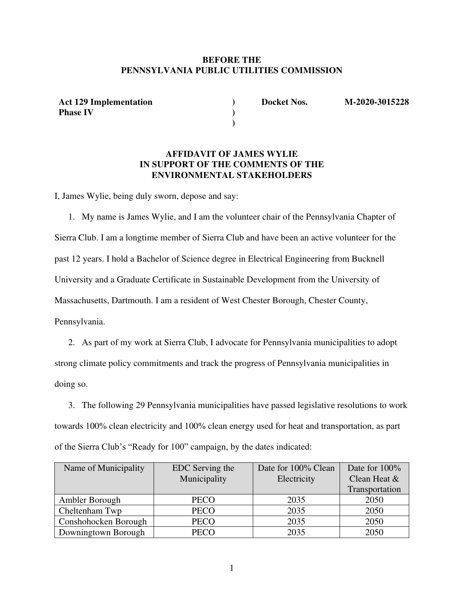## **BEFORE THE PENNSYLVANIA PUBLIC UTILITIES COMMISSION**

**) )** 

**Act 129 Implementation Phase IV**

**) Docket Nos. M-2020-3015228** 

## **AFFIDAVIT OF JAMES WYLIE IN SUPPORT OF THE COMMENTS OF THE ENVIRONMENTAL STAKEHOLDERS**

I, James Wylie, being duly sworn, depose and say:

1. My name is James Wylie, and I am the volunteer chair of the Pennsylvania Chapter of Sierra Club. I am a longtime member of Sierra Club and have been an active volunteer for the past 12 years. I hold a Bachelor of Science degree in Electrical Engineering from Bucknell University and a Graduate Certificate in Sustainable Development from the University of Massachusetts, Dartmouth. I am a resident of West Chester Borough, Chester County, Pennsylvania.

2. As part of my work at Sierra Club, I advocate for Pennsylvania municipalities to adopt strong climate policy commitments and track the progress of Pennsylvania municipalities in doing so.

3. The following 29 Pennsylvania municipalities have passed legislative resolutions to work towards 100% clean electricity and 100% clean energy used for heat and transportation, as part of the Sierra Club's "Ready for 100" campaign, by the dates indicated:

| Name of Municipality | EDC Serving the | Date for 100% Clean | Date for $100\%$ |
|----------------------|-----------------|---------------------|------------------|
|                      | Municipality    | Electricity         | Clean Heat &     |
|                      |                 |                     | Transportation   |
| Ambler Borough       | <b>PECO</b>     | 2035                | 2050             |
| Cheltenham Twp       | <b>PECO</b>     | 2035                | 2050             |
| Conshohocken Borough | <b>PECO</b>     | 2035                | 2050             |
| Downingtown Borough  | <b>PECO</b>     | 2035                | 2050             |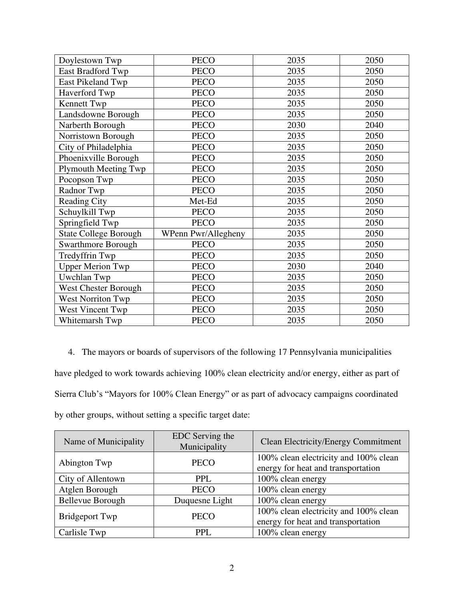| Doylestown Twp               | <b>PECO</b>         | 2035 | 2050 |
|------------------------------|---------------------|------|------|
| East Bradford Twp            | <b>PECO</b>         | 2035 | 2050 |
| East Pikeland Twp            | <b>PECO</b>         | 2035 | 2050 |
| Haverford Twp                | <b>PECO</b>         | 2035 | 2050 |
| Kennett Twp                  | <b>PECO</b>         | 2035 | 2050 |
| Landsdowne Borough           | <b>PECO</b>         | 2035 | 2050 |
| Narberth Borough             | <b>PECO</b>         | 2030 | 2040 |
| Norristown Borough           | <b>PECO</b>         | 2035 | 2050 |
| City of Philadelphia         | <b>PECO</b>         | 2035 | 2050 |
| Phoenixville Borough         | <b>PECO</b>         | 2035 | 2050 |
| <b>Plymouth Meeting Twp</b>  | <b>PECO</b>         | 2035 | 2050 |
| Pocopson Twp                 | <b>PECO</b>         | 2035 | 2050 |
| Radnor Twp                   | <b>PECO</b>         | 2035 | 2050 |
| <b>Reading City</b>          | Met-Ed              | 2035 | 2050 |
| Schuylkill Twp               | <b>PECO</b>         | 2035 | 2050 |
| Springfield Twp              | <b>PECO</b>         | 2035 | 2050 |
| <b>State College Borough</b> | WPenn Pwr/Allegheny | 2035 | 2050 |
| <b>Swarthmore Borough</b>    | <b>PECO</b>         | 2035 | 2050 |
| Tredyffrin Twp               | <b>PECO</b>         | 2035 | 2050 |
| <b>Upper Merion Twp</b>      | <b>PECO</b>         | 2030 | 2040 |
| Uwchlan Twp                  | <b>PECO</b>         | 2035 | 2050 |
| <b>West Chester Borough</b>  | <b>PECO</b>         | 2035 | 2050 |
| <b>West Norriton Twp</b>     | <b>PECO</b>         | 2035 | 2050 |
| West Vincent Twp             | <b>PECO</b>         | 2035 | 2050 |
| Whitemarsh Twp               | <b>PECO</b>         | 2035 | 2050 |

4. The mayors or boards of supervisors of the following 17 Pennsylvania municipalities have pledged to work towards achieving 100% clean electricity and/or energy, either as part of Sierra Club's "Mayors for 100% Clean Energy" or as part of advocacy campaigns coordinated by other groups, without setting a specific target date:

| Name of Municipality    | EDC Serving the<br>Municipality | <b>Clean Electricity/Energy Commitment</b>                                  |
|-------------------------|---------------------------------|-----------------------------------------------------------------------------|
| Abington Twp            | <b>PECO</b>                     | 100% clean electricity and 100% clean<br>energy for heat and transportation |
| City of Allentown       | <b>PPL</b>                      | 100% clean energy                                                           |
| Atglen Borough          | <b>PECO</b>                     | 100% clean energy                                                           |
| <b>Bellevue Borough</b> | Duquesne Light                  | 100% clean energy                                                           |
| <b>Bridgeport Twp</b>   | <b>PECO</b>                     | 100% clean electricity and 100% clean<br>energy for heat and transportation |
| Carlisle Twp            | PPL.                            | 100% clean energy                                                           |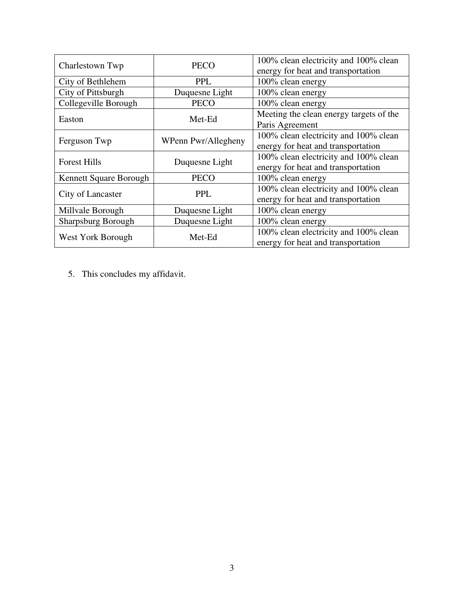| Charlestown Twp           | 100% clean electricity and 100% clean<br><b>PECO</b><br>energy for heat and transportation |                                         |  |
|---------------------------|--------------------------------------------------------------------------------------------|-----------------------------------------|--|
| City of Bethlehem         | <b>PPL</b>                                                                                 | 100% clean energy                       |  |
| City of Pittsburgh        | Duquesne Light                                                                             | 100% clean energy                       |  |
| Collegeville Borough      | <b>PECO</b>                                                                                | 100% clean energy                       |  |
| Easton                    | Met-Ed                                                                                     | Meeting the clean energy targets of the |  |
|                           |                                                                                            | Paris Agreement                         |  |
| Ferguson Twp              | WPenn Pwr/Allegheny                                                                        | 100% clean electricity and 100% clean   |  |
|                           |                                                                                            | energy for heat and transportation      |  |
| <b>Forest Hills</b>       | Duquesne Light                                                                             | 100% clean electricity and 100% clean   |  |
|                           |                                                                                            | energy for heat and transportation      |  |
| Kennett Square Borough    | <b>PECO</b>                                                                                | 100% clean energy                       |  |
| City of Lancaster         | <b>PPL</b>                                                                                 | 100% clean electricity and 100% clean   |  |
|                           |                                                                                            | energy for heat and transportation      |  |
| Millvale Borough          | Duquesne Light                                                                             | 100% clean energy                       |  |
| <b>Sharpsburg Borough</b> | Duquesne Light                                                                             | 100% clean energy                       |  |
| West York Borough         | Met-Ed                                                                                     | 100% clean electricity and 100% clean   |  |
|                           |                                                                                            | energy for heat and transportation      |  |

5. This concludes my affidavit.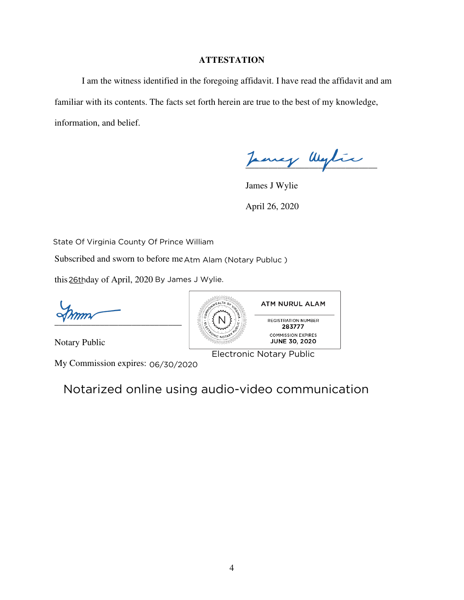## **ATTESTATION**

 I am the witness identified in the foregoing affidavit. I have read the affidavit and am familiar with its contents. The facts set forth herein are true to the best of my knowledge, information, and belief.

James Wylie

 James J Wylie April 26, 2020

State Of Virginia County Of Prince William

Subscribed and sworn to before me Atm Alam (Notary Publuc )

this 26thday of April, 2020 By James J Wylie.

 $\sqrt{2}$ 

Notary Public

My Commission expires: 06/30/2020

Notarized online using audio-video communication

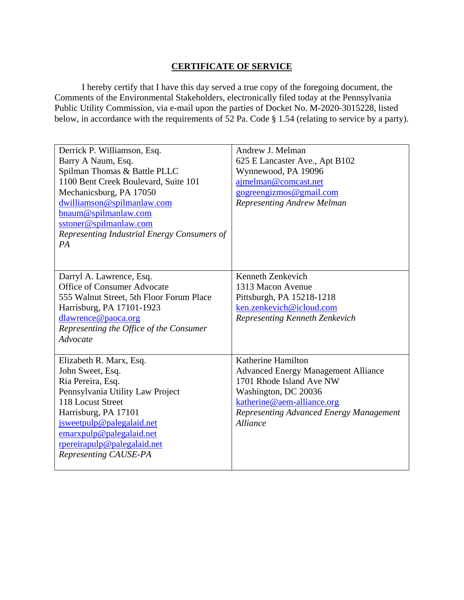# **CERTIFICATE OF SERVICE**

I hereby certify that I have this day served a true copy of the foregoing document, the Comments of the Environmental Stakeholders, electronically filed today at the Pennsylvania Public Utility Commission, via e-mail upon the parties of Docket No. M-2020-3015228, listed below, in accordance with the requirements of 52 Pa. Code § 1.54 (relating to service by a party).

| Derrick P. Williamson, Esq.                 | Andrew J. Melman                           |
|---------------------------------------------|--------------------------------------------|
| Barry A Naum, Esq.                          | 625 E Lancaster Ave., Apt B102             |
| Spilman Thomas & Battle PLLC                | Wynnewood, PA 19096                        |
| 1100 Bent Creek Boulevard, Suite 101        | ajmelman@comcast.net                       |
| Mechanicsburg, PA 17050                     | gogreengizmos@gmail.com                    |
| dwilliamson@spilmanlaw.com                  | <b>Representing Andrew Melman</b>          |
| bnaum@spilmanlaw.com                        |                                            |
| sstoner@spilmanlaw.com                      |                                            |
| Representing Industrial Energy Consumers of |                                            |
| PA                                          |                                            |
|                                             |                                            |
|                                             |                                            |
| Darryl A. Lawrence, Esq.                    | Kenneth Zenkevich                          |
| <b>Office of Consumer Advocate</b>          | 1313 Macon Avenue                          |
| 555 Walnut Street, 5th Floor Forum Place    | Pittsburgh, PA 15218-1218                  |
| Harrisburg, PA 17101-1923                   | ken.zenkevich@icloud.com                   |
| dlawrence@paoca.org                         | Representing Kenneth Zenkevich             |
| Representing the Office of the Consumer     |                                            |
| Advocate                                    |                                            |
|                                             |                                            |
| Elizabeth R. Marx, Esq.                     | Katherine Hamilton                         |
| John Sweet, Esq.                            | <b>Advanced Energy Management Alliance</b> |
| Ria Pereira, Esq.                           | 1701 Rhode Island Ave NW                   |
| Pennsylvania Utility Law Project            | Washington, DC 20036                       |
| 118 Locust Street                           | katherine@aem-alliance.org                 |
| Harrisburg, PA 17101                        | Representing Advanced Energy Management    |
| jsweetpulp@palegalaid.net                   | <b>Alliance</b>                            |
| emarxpulp@palegalaid.net                    |                                            |
| rpereirapulp@palegalaid.net                 |                                            |
| Representing CAUSE-PA                       |                                            |
|                                             |                                            |